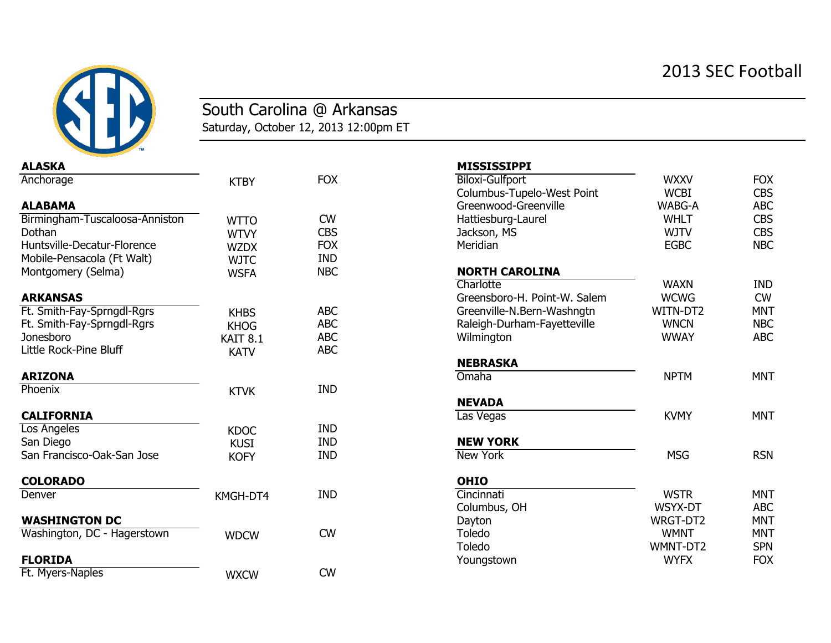## 2013 SEC Football



## South Carolina @ Arkansas

Saturday, October 12, 2013 12:00pm ET

| <b>ALASKA</b>                  |                     |            | <b>MISSISSIPPI</b>           |             |            |
|--------------------------------|---------------------|------------|------------------------------|-------------|------------|
| Anchorage                      | <b>KTBY</b>         | <b>FOX</b> | <b>Biloxi-Gulfport</b>       | <b>WXXV</b> | <b>FOX</b> |
|                                |                     |            | Columbus-Tupelo-West Point   | <b>WCBI</b> | <b>CBS</b> |
| <b>ALABAMA</b>                 |                     |            | Greenwood-Greenville         | WABG-A      | <b>ABC</b> |
| Birmingham-Tuscaloosa-Anniston | <b>WTTO</b>         | <b>CW</b>  | Hattiesburg-Laurel           | <b>WHLT</b> | <b>CBS</b> |
| Dothan                         | <b>WTVY</b>         | <b>CBS</b> | Jackson, MS                  | <b>WJTV</b> | <b>CBS</b> |
| Huntsville-Decatur-Florence    | <b>WZDX</b>         | <b>FOX</b> | Meridian                     | <b>EGBC</b> | <b>NBC</b> |
| Mobile-Pensacola (Ft Walt)     | <b>WJTC</b>         | <b>IND</b> |                              |             |            |
| Montgomery (Selma)             | <b>WSFA</b>         | <b>NBC</b> | <b>NORTH CAROLINA</b>        |             |            |
|                                |                     |            | Charlotte                    | <b>WAXN</b> | <b>IND</b> |
| <b>ARKANSAS</b>                |                     |            | Greensboro-H. Point-W. Salem | <b>WCWG</b> | <b>CW</b>  |
| Ft. Smith-Fay-Sprngdl-Rgrs     | <b>KHBS</b>         | <b>ABC</b> | Greenville-N.Bern-Washngtn   | WITN-DT2    | <b>MNT</b> |
| Ft. Smith-Fay-Sprngdl-Rgrs     | <b>KHOG</b>         | <b>ABC</b> | Raleigh-Durham-Fayetteville  | <b>WNCN</b> | <b>NBC</b> |
| Jonesboro                      | KAIT <sub>8.1</sub> | <b>ABC</b> | Wilmington                   | <b>WWAY</b> | <b>ABC</b> |
| Little Rock-Pine Bluff         | <b>KATV</b>         | <b>ABC</b> |                              |             |            |
|                                |                     |            | <b>NEBRASKA</b>              |             |            |
| <b>ARIZONA</b>                 |                     |            | Omaha                        | <b>NPTM</b> | <b>MNT</b> |
| Phoenix                        | <b>KTVK</b>         | <b>IND</b> |                              |             |            |
|                                |                     |            | <b>NEVADA</b>                |             |            |
| <b>CALIFORNIA</b>              |                     |            | Las Vegas                    | <b>KVMY</b> | <b>MNT</b> |
| Los Angeles                    | <b>KDOC</b>         | <b>IND</b> |                              |             |            |
| San Diego                      | <b>KUSI</b>         | <b>IND</b> | <b>NEW YORK</b>              |             |            |
| San Francisco-Oak-San Jose     | <b>KOFY</b>         | <b>IND</b> | <b>New York</b>              | <b>MSG</b>  | <b>RSN</b> |
| <b>COLORADO</b>                |                     |            | <b>OHIO</b>                  |             |            |
| Denver                         | KMGH-DT4            | <b>IND</b> | Cincinnati                   | <b>WSTR</b> | <b>MNT</b> |
|                                |                     |            | Columbus, OH                 | WSYX-DT     | <b>ABC</b> |
| <b>WASHINGTON DC</b>           |                     |            | Dayton                       | WRGT-DT2    | <b>MNT</b> |
| Washington, DC - Hagerstown    | <b>WDCW</b>         | <b>CW</b>  | Toledo                       | <b>WMNT</b> | <b>MNT</b> |
|                                |                     |            | Toledo                       | WMNT-DT2    | <b>SPN</b> |
| <b>FLORIDA</b>                 |                     |            | Youngstown                   | <b>WYFX</b> | <b>FOX</b> |
| Ft. Myers-Naples               | <b>WXCW</b>         | <b>CW</b>  |                              |             |            |

| <b>ALASKA</b>                  |                     |            | <b>MISSISSIPPI</b>           |             |            |
|--------------------------------|---------------------|------------|------------------------------|-------------|------------|
| Anchorage                      | <b>KTBY</b>         | <b>FOX</b> | <b>Biloxi-Gulfport</b>       | <b>WXXV</b> | <b>FOX</b> |
|                                |                     |            | Columbus-Tupelo-West Point   | <b>WCBI</b> | <b>CBS</b> |
| <b>ALABAMA</b>                 |                     |            | Greenwood-Greenville         | WABG-A      | <b>ABC</b> |
| Birmingham-Tuscaloosa-Anniston | <b>WTTO</b>         | <b>CW</b>  | Hattiesburg-Laurel           | <b>WHLT</b> | <b>CBS</b> |
| Dothan                         | <b>WTVY</b>         | <b>CBS</b> | Jackson, MS                  | <b>WJTV</b> | <b>CBS</b> |
| Huntsville-Decatur-Florence    | <b>WZDX</b>         | <b>FOX</b> | Meridian                     | <b>EGBC</b> | <b>NBC</b> |
| Mobile-Pensacola (Ft Walt)     | <b>WJTC</b>         | <b>IND</b> |                              |             |            |
| Montgomery (Selma)             | <b>WSFA</b>         | <b>NBC</b> | <b>NORTH CAROLINA</b>        |             |            |
|                                |                     |            | Charlotte                    | <b>WAXN</b> | <b>IND</b> |
| ARKANSAS                       |                     |            | Greensboro-H. Point-W. Salem | <b>WCWG</b> | <b>CW</b>  |
| Ft. Smith-Fay-Sprngdl-Rgrs     | <b>KHBS</b>         | <b>ABC</b> | Greenville-N.Bern-Washngtn   | WITN-DT2    | <b>MNT</b> |
| Ft. Smith-Fay-Sprngdl-Rgrs     | <b>KHOG</b>         | <b>ABC</b> | Raleigh-Durham-Fayetteville  | <b>WNCN</b> | <b>NBC</b> |
| Jonesboro                      | KAIT <sub>8.1</sub> | <b>ABC</b> | Wilmington                   | <b>WWAY</b> | <b>ABC</b> |
| Little Rock-Pine Bluff         | <b>KATV</b>         | <b>ABC</b> |                              |             |            |
|                                |                     |            | <b>NEBRASKA</b>              |             |            |
| <b>ARIZONA</b>                 |                     |            | Omaha                        | <b>NPTM</b> | <b>MNT</b> |
| Phoenix                        | <b>KTVK</b>         | <b>IND</b> |                              |             |            |
|                                |                     |            | <b>NEVADA</b>                |             |            |
| <b>CALIFORNIA</b>              |                     |            | Las Vegas                    | <b>KVMY</b> | <b>MNT</b> |
| Los Angeles                    | <b>KDOC</b>         | <b>IND</b> |                              |             |            |
| San Diego                      | <b>KUSI</b>         | <b>IND</b> | <b>NEW YORK</b>              |             |            |
| San Francisco-Oak-San Jose     | <b>KOFY</b>         | <b>IND</b> | <b>New York</b>              | <b>MSG</b>  | <b>RSN</b> |
| <b>COLORADO</b>                |                     |            | <b>OHIO</b>                  |             |            |
| Denver                         | KMGH-DT4            | <b>IND</b> | Cincinnati                   | <b>WSTR</b> | <b>MNT</b> |
|                                |                     |            | Columbus, OH                 | WSYX-DT     | <b>ABC</b> |
| <b>WASHINGTON DC</b>           |                     |            | Dayton                       | WRGT-DT2    | <b>MNT</b> |
| Washington, DC - Hagerstown    | <b>WDCW</b>         | <b>CW</b>  | <b>Toledo</b>                | <b>WMNT</b> | <b>MNT</b> |
|                                |                     |            | <b>Toledo</b>                | WMNT-DT2    | <b>SPN</b> |
| <b>FLORIDA</b>                 |                     |            | Youngstown                   | <b>WYFX</b> | <b>FOX</b> |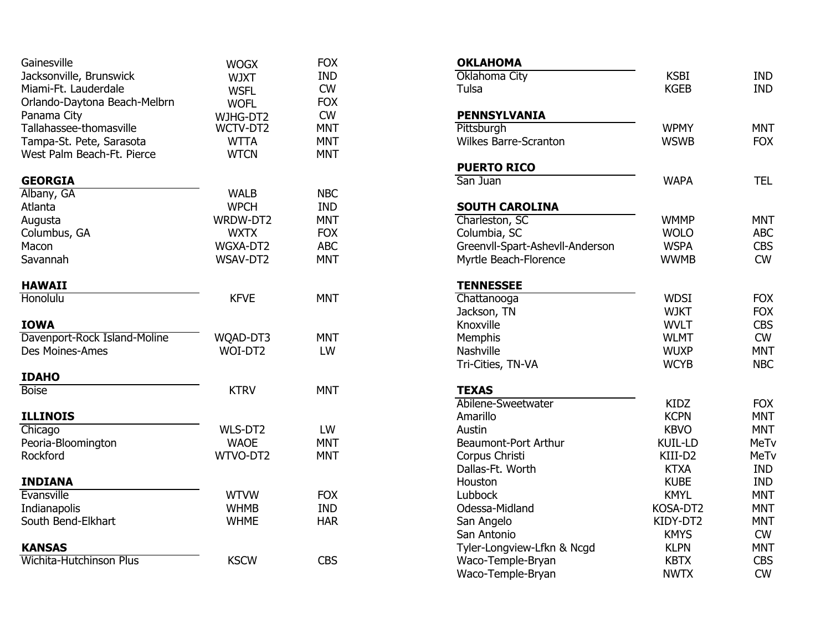| Gainesville                    | <b>WOGX</b> | <b>FOX</b> | <b>OKLAHOMA</b>                 |                 |            |
|--------------------------------|-------------|------------|---------------------------------|-----------------|------------|
| Jacksonville, Brunswick        | <b>WJXT</b> | <b>IND</b> | Oklahoma City                   | <b>KSBI</b>     | <b>IND</b> |
| Miami-Ft. Lauderdale           | <b>WSFL</b> | <b>CW</b>  | Tulsa                           | <b>KGEB</b>     | <b>IND</b> |
| Orlando-Daytona Beach-Melbrn   | <b>WOFL</b> | <b>FOX</b> |                                 |                 |            |
| Panama City                    | WJHG-DT2    | <b>CW</b>  | <b>PENNSYLVANIA</b>             |                 |            |
| Tallahassee-thomasville        | WCTV-DT2    | <b>MNT</b> | Pittsburgh                      | <b>WPMY</b>     | <b>MNT</b> |
| Tampa-St. Pete, Sarasota       | <b>WTTA</b> | <b>MNT</b> | <b>Wilkes Barre-Scranton</b>    | <b>WSWB</b>     | <b>FOX</b> |
| West Palm Beach-Ft. Pierce     | <b>WTCN</b> | <b>MNT</b> |                                 |                 |            |
|                                |             |            | <b>PUERTO RICO</b>              |                 |            |
| <b>GEORGIA</b>                 |             |            | San Juan                        | <b>WAPA</b>     | <b>TEL</b> |
| Albany, GA                     | <b>WALB</b> | <b>NBC</b> |                                 |                 |            |
| Atlanta                        | <b>WPCH</b> | <b>IND</b> | <b>SOUTH CAROLINA</b>           |                 |            |
| Augusta                        | WRDW-DT2    | <b>MNT</b> | Charleston, SC                  | <b>WMMP</b>     | <b>MNT</b> |
| Columbus, GA                   | <b>WXTX</b> | <b>FOX</b> | Columbia, SC                    | <b>WOLO</b>     | ABC        |
| Macon                          | WGXA-DT2    | <b>ABC</b> | Greenvll-Spart-Ashevll-Anderson | <b>WSPA</b>     | <b>CBS</b> |
| Savannah                       | WSAV-DT2    | <b>MNT</b> | Myrtle Beach-Florence           | <b>WWMB</b>     | <b>CW</b>  |
| <b>HAWAII</b>                  |             |            | <b>TENNESSEE</b>                |                 |            |
| <b>Honolulu</b>                | <b>KFVE</b> | <b>MNT</b> | Chattanooga                     | <b>WDSI</b>     | <b>FOX</b> |
|                                |             |            | Jackson, TN                     | <b>WJKT</b>     | <b>FOX</b> |
| <b>IOWA</b>                    |             |            | Knoxville                       | <b>WVLT</b>     | <b>CBS</b> |
| Davenport-Rock Island-Moline   | WQAD-DT3    | <b>MNT</b> | Memphis                         | <b>WLMT</b>     | <b>CW</b>  |
| Des Moines-Ames                | WOI-DT2     | LW         | Nashville                       | <b>WUXP</b>     | <b>MNT</b> |
|                                |             |            | Tri-Cities, TN-VA               | <b>WCYB</b>     | <b>NBC</b> |
| <b>IDAHO</b>                   |             |            |                                 |                 |            |
| <b>Boise</b>                   | <b>KTRV</b> | <b>MNT</b> | <b>TEXAS</b>                    |                 |            |
|                                |             |            | Abilene-Sweetwater              | <b>KIDZ</b>     | <b>FOX</b> |
| <b>ILLINOIS</b>                |             |            | Amarillo                        | <b>KCPN</b>     | <b>MNT</b> |
| Chicago                        | WLS-DT2     | LW         | Austin                          | <b>KBVO</b>     | <b>MNT</b> |
| Peoria-Bloomington             | <b>WAOE</b> | <b>MNT</b> | <b>Beaumont-Port Arthur</b>     | <b>KUIL-LD</b>  | MeTv       |
| Rockford                       | WTVO-DT2    | <b>MNT</b> | Corpus Christi                  | KIII-D2         | MeTv       |
|                                |             |            | Dallas-Ft. Worth                | <b>KTXA</b>     | <b>IND</b> |
| <b>INDIANA</b>                 |             |            | Houston                         | <b>KUBE</b>     | <b>IND</b> |
| Evansville                     | <b>WTVW</b> | <b>FOX</b> | Lubbock                         | <b>KMYL</b>     | <b>MNT</b> |
| Indianapolis                   | <b>WHMB</b> | <b>IND</b> | Odessa-Midland                  | KOSA-DT2        | <b>MNT</b> |
| South Bend-Elkhart             | <b>WHME</b> | <b>HAR</b> | San Angelo                      | KIDY-DT2        | <b>MNT</b> |
|                                |             |            | San Antonio                     | <b>KMYS</b>     | <b>CW</b>  |
| <b>KANSAS</b>                  |             |            | Tyler-Longview-Lfkn & Ncgd      | <b>KLPN</b>     | <b>MNT</b> |
| <b>Wichita-Hutchinson Plus</b> | <b>KSCW</b> | <b>CBS</b> | Waco-Temple-Bryan               | <b>KBTX</b>     | <b>CBS</b> |
|                                |             |            |                                 | <b>NIVA/TV/</b> | $\sim$     |

| <b>OKLAHOMA</b>                 |                |             |
|---------------------------------|----------------|-------------|
| Oklahoma City                   | <b>KSBI</b>    | <b>IND</b>  |
| Tulsa                           | <b>KGEB</b>    | <b>IND</b>  |
| <b>PENNSYLVANIA</b>             |                |             |
| Pittsburgh                      | <b>WPMY</b>    | <b>MNT</b>  |
| <b>Wilkes Barre-Scranton</b>    | <b>WSWB</b>    | <b>FOX</b>  |
| <b>PUERTO RICO</b>              |                |             |
| San Juan                        | <b>WAPA</b>    | <b>TEL</b>  |
| <b>SOUTH CAROLINA</b>           |                |             |
| Charleston, SC                  | <b>WMMP</b>    | <b>MNT</b>  |
| Columbia, SC                    | <b>WOLO</b>    | <b>ABC</b>  |
| Greenvll-Spart-Ashevll-Anderson | <b>WSPA</b>    | <b>CBS</b>  |
| Myrtle Beach-Florence           | <b>WWMB</b>    | <b>CW</b>   |
| <b>TENNESSEE</b>                |                |             |
| Chattanooga                     | <b>WDSI</b>    | <b>FOX</b>  |
| Jackson, TN                     | <b>WJKT</b>    | <b>FOX</b>  |
| Knoxville                       | <b>WVLT</b>    | <b>CBS</b>  |
| <b>Memphis</b>                  | <b>WLMT</b>    | <b>CW</b>   |
| <b>Nashville</b>                | <b>WUXP</b>    | <b>MNT</b>  |
| Tri-Cities, TN-VA               | <b>WCYB</b>    | <b>NBC</b>  |
| <b>TEXAS</b>                    |                |             |
| Abilene-Sweetwater              | <b>KIDZ</b>    | <b>FOX</b>  |
| Amarillo                        | <b>KCPN</b>    | <b>MNT</b>  |
| Austin                          | <b>KBVO</b>    | <b>MNT</b>  |
| <b>Beaumont-Port Arthur</b>     | <b>KUIL-LD</b> | <b>MeTv</b> |
| Corpus Christi                  | KIII-D2        | <b>MeTv</b> |
| Dallas-Ft. Worth                | <b>KTXA</b>    | <b>IND</b>  |
| Houston                         | <b>KUBE</b>    | <b>IND</b>  |
| Lubbock                         | <b>KMYL</b>    | MNT         |
| Odessa-Midland                  | KOSA-DT2       | <b>MNT</b>  |
| San Angelo                      | KIDY-DT2       | MNT         |
| San Antonio                     | <b>KMYS</b>    | <b>CW</b>   |
| Tyler-Longview-Lfkn & Ncgd      | <b>KLPN</b>    | <b>MNT</b>  |
| Waco-Temple-Bryan               | <b>KBTX</b>    | <b>CBS</b>  |
| Waco-Temple-Bryan               | <b>NWTX</b>    | <b>CW</b>   |
|                                 |                |             |